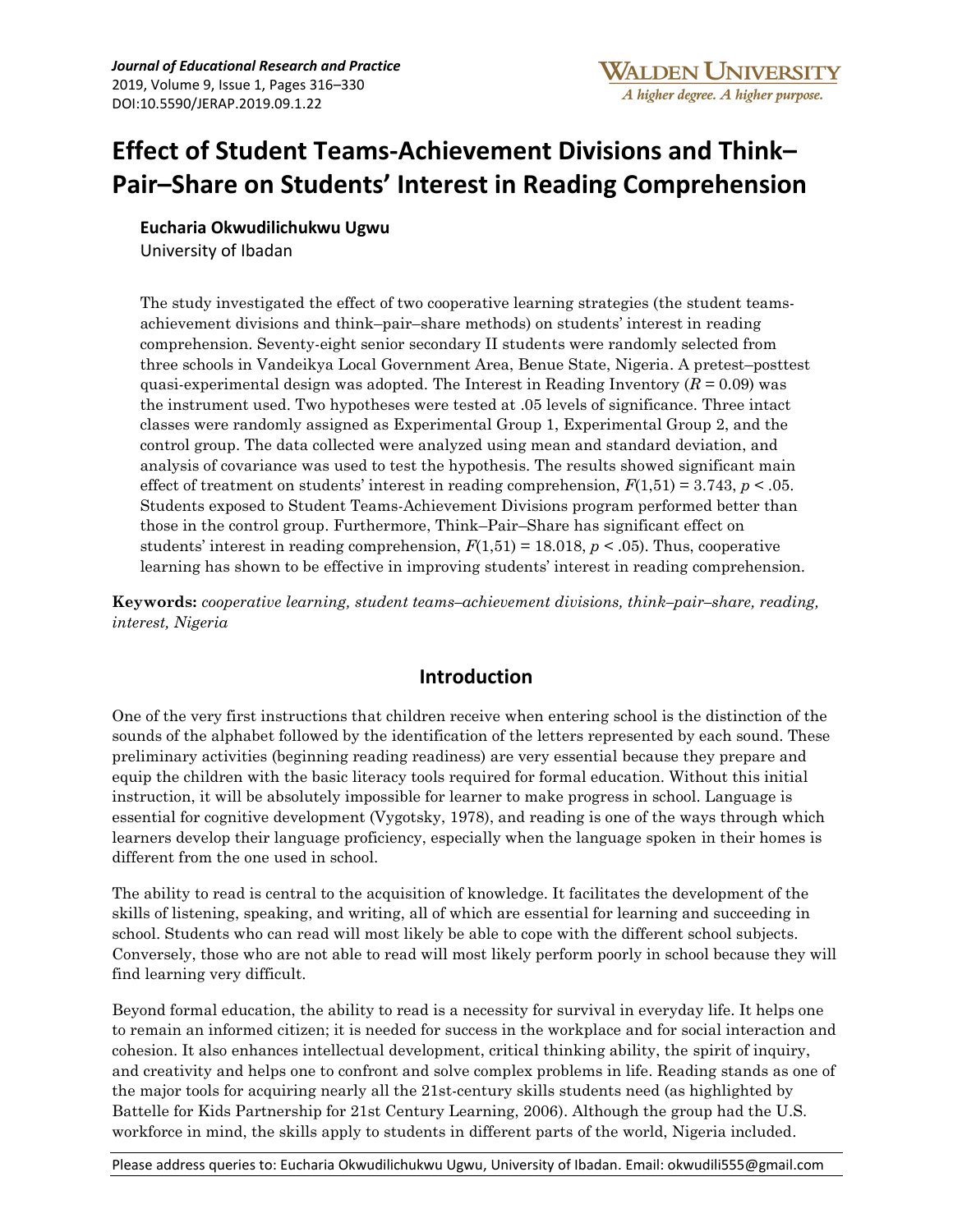# **Effect of Student Teams-Achievement Divisions and Think– Pair–Share on Students' Interest in Reading Comprehension**

**Eucharia Okwudilichukwu Ugwu** 

University of Ibadan

The study investigated the effect of two cooperative learning strategies (the student teamsachievement divisions and think–pair–share methods) on students' interest in reading comprehension. Seventy-eight senior secondary II students were randomly selected from three schools in Vandeikya Local Government Area, Benue State, Nigeria. A pretest–posttest quasi-experimental design was adopted. The Interest in Reading Inventory  $(R = 0.09)$  was the instrument used. Two hypotheses were tested at .05 levels of significance. Three intact classes were randomly assigned as Experimental Group 1, Experimental Group 2, and the control group. The data collected were analyzed using mean and standard deviation, and analysis of covariance was used to test the hypothesis. The results showed significant main effect of treatment on students' interest in reading comprehension,  $F(1,51) = 3.743$ ,  $p < .05$ . Students exposed to Student Teams-Achievement Divisions program performed better than those in the control group. Furthermore, Think–Pair–Share has significant effect on students' interest in reading comprehension,  $F(1,51) = 18.018$ ,  $p < .05$ ). Thus, cooperative learning has shown to be effective in improving students' interest in reading comprehension.

**Keywords:** *cooperative learning, student teams–achievement divisions, think–pair–share, reading, interest, Nigeria*

## **Introduction**

One of the very first instructions that children receive when entering school is the distinction of the sounds of the alphabet followed by the identification of the letters represented by each sound. These preliminary activities (beginning reading readiness) are very essential because they prepare and equip the children with the basic literacy tools required for formal education. Without this initial instruction, it will be absolutely impossible for learner to make progress in school. Language is essential for cognitive development (Vygotsky, 1978), and reading is one of the ways through which learners develop their language proficiency, especially when the language spoken in their homes is different from the one used in school.

The ability to read is central to the acquisition of knowledge. It facilitates the development of the skills of listening, speaking, and writing, all of which are essential for learning and succeeding in school. Students who can read will most likely be able to cope with the different school subjects. Conversely, those who are not able to read will most likely perform poorly in school because they will find learning very difficult.

Beyond formal education, the ability to read is a necessity for survival in everyday life. It helps one to remain an informed citizen; it is needed for success in the workplace and for social interaction and cohesion. It also enhances intellectual development, critical thinking ability, the spirit of inquiry, and creativity and helps one to confront and solve complex problems in life. Reading stands as one of the major tools for acquiring nearly all the 21st-century skills students need (as highlighted by Battelle for Kids Partnership for 21st Century Learning, 2006). Although the group had the U.S. workforce in mind, the skills apply to students in different parts of the world, Nigeria included.

Please address queries to: Eucharia Okwudilichukwu Ugwu, University of Ibadan. Email: okwudili555@gmail.com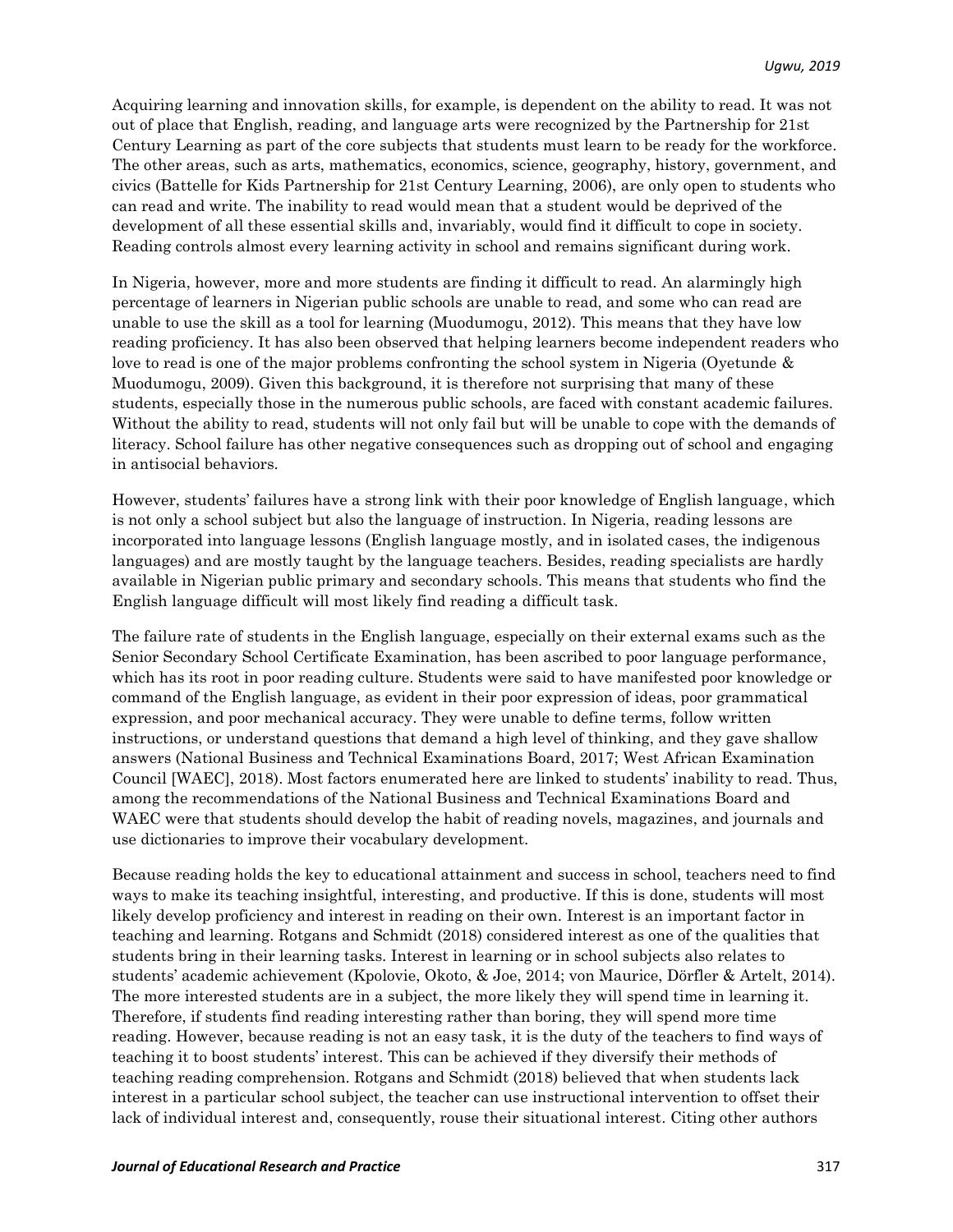Acquiring learning and innovation skills, for example, is dependent on the ability to read. It was not out of place that English, reading, and language arts were recognized by the Partnership for 21st Century Learning as part of the core subjects that students must learn to be ready for the workforce. The other areas, such as arts, mathematics, economics, science, geography, history, government, and civics (Battelle for Kids Partnership for 21st Century Learning, 2006), are only open to students who can read and write. The inability to read would mean that a student would be deprived of the development of all these essential skills and, invariably, would find it difficult to cope in society. Reading controls almost every learning activity in school and remains significant during work.

In Nigeria, however, more and more students are finding it difficult to read. An alarmingly high percentage of learners in Nigerian public schools are unable to read, and some who can read are unable to use the skill as a tool for learning (Muodumogu, 2012). This means that they have low reading proficiency. It has also been observed that helping learners become independent readers who love to read is one of the major problems confronting the school system in Nigeria (Oyetunde & Muodumogu, 2009). Given this background, it is therefore not surprising that many of these students, especially those in the numerous public schools, are faced with constant academic failures. Without the ability to read, students will not only fail but will be unable to cope with the demands of literacy. School failure has other negative consequences such as dropping out of school and engaging in antisocial behaviors.

However, students' failures have a strong link with their poor knowledge of English language, which is not only a school subject but also the language of instruction. In Nigeria, reading lessons are incorporated into language lessons (English language mostly, and in isolated cases, the indigenous languages) and are mostly taught by the language teachers. Besides, reading specialists are hardly available in Nigerian public primary and secondary schools. This means that students who find the English language difficult will most likely find reading a difficult task.

The failure rate of students in the English language, especially on their external exams such as the Senior Secondary School Certificate Examination, has been ascribed to poor language performance, which has its root in poor reading culture. Students were said to have manifested poor knowledge or command of the English language, as evident in their poor expression of ideas, poor grammatical expression, and poor mechanical accuracy. They were unable to define terms, follow written instructions, or understand questions that demand a high level of thinking, and they gave shallow answers (National Business and Technical Examinations Board, 2017; West African Examination Council [WAEC], 2018). Most factors enumerated here are linked to students' inability to read. Thus, among the recommendations of the National Business and Technical Examinations Board and WAEC were that students should develop the habit of reading novels, magazines, and journals and use dictionaries to improve their vocabulary development.

Because reading holds the key to educational attainment and success in school, teachers need to find ways to make its teaching insightful, interesting, and productive. If this is done, students will most likely develop proficiency and interest in reading on their own. Interest is an important factor in teaching and learning. Rotgans and Schmidt (2018) considered interest as one of the qualities that students bring in their learning tasks. Interest in learning or in school subjects also relates to students' academic achievement (Kpolovie, Okoto, & Joe, 2014; von Maurice, Dörfler & Artelt, 2014). The more interested students are in a subject, the more likely they will spend time in learning it. Therefore, if students find reading interesting rather than boring, they will spend more time reading. However, because reading is not an easy task, it is the duty of the teachers to find ways of teaching it to boost students' interest. This can be achieved if they diversify their methods of teaching reading comprehension. Rotgans and Schmidt (2018) believed that when students lack interest in a particular school subject, the teacher can use instructional intervention to offset their lack of individual interest and, consequently, rouse their situational interest. Citing other authors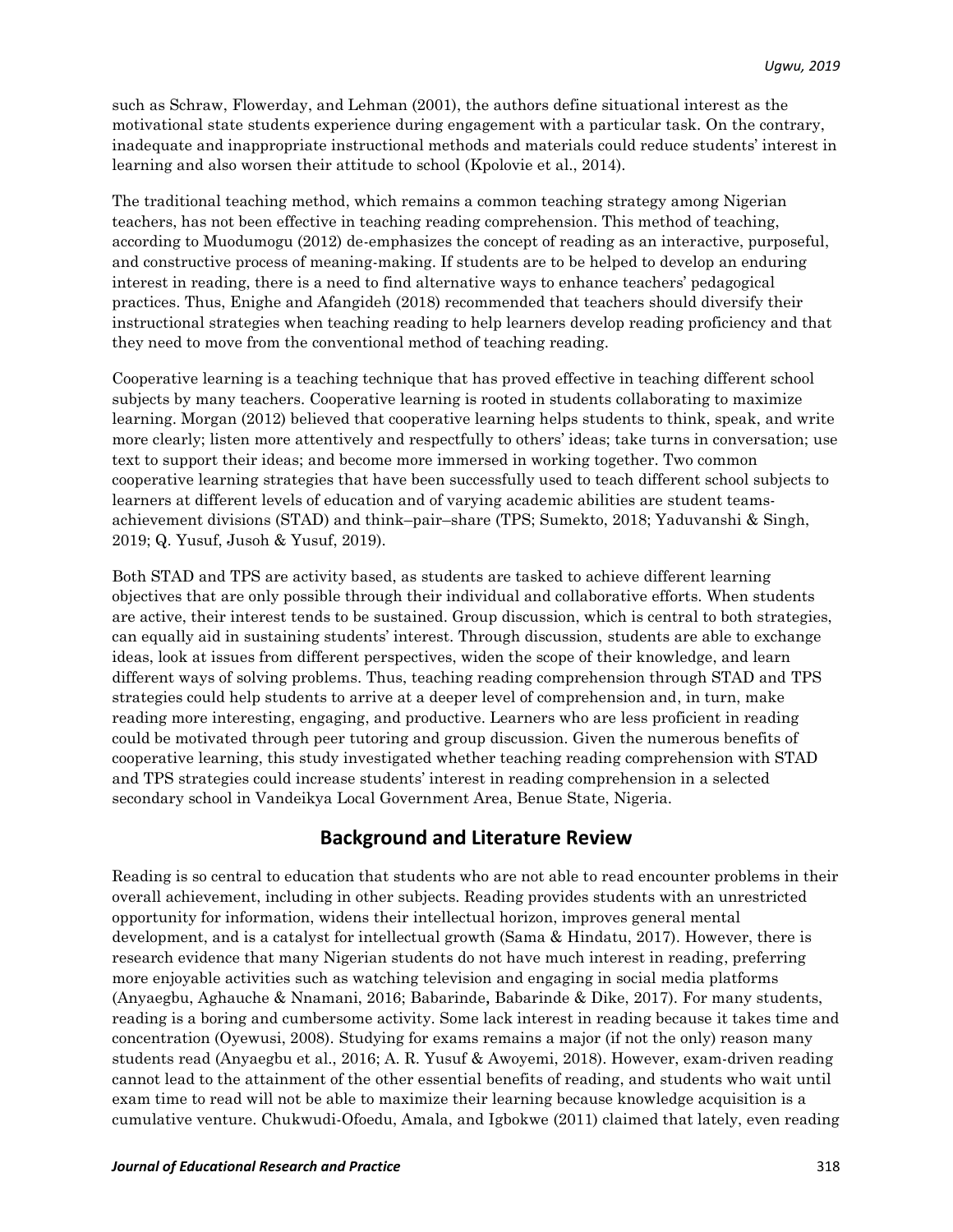such as Schraw, Flowerday, and Lehman (2001), the authors define situational interest as the motivational state students experience during engagement with a particular task. On the contrary, inadequate and inappropriate instructional methods and materials could reduce students' interest in learning and also worsen their attitude to school (Kpolovie et al., 2014).

The traditional teaching method, which remains a common teaching strategy among Nigerian teachers, has not been effective in teaching reading comprehension. This method of teaching, according to Muodumogu (2012) de-emphasizes the concept of reading as an interactive, purposeful, and constructive process of meaning-making. If students are to be helped to develop an enduring interest in reading, there is a need to find alternative ways to enhance teachers' pedagogical practices. Thus, Enighe and Afangideh (2018) recommended that teachers should diversify their instructional strategies when teaching reading to help learners develop reading proficiency and that they need to move from the conventional method of teaching reading.

Cooperative learning is a teaching technique that has proved effective in teaching different school subjects by many teachers. Cooperative learning is rooted in students collaborating to maximize learning. Morgan (2012) believed that cooperative learning helps students to think, speak, and write more clearly; listen more attentively and respectfully to others' ideas; take turns in conversation; use text to support their ideas; and become more immersed in working together. Two common cooperative learning strategies that have been successfully used to teach different school subjects to learners at different levels of education and of varying academic abilities are student teamsachievement divisions (STAD) and think–pair–share (TPS; Sumekto, 2018; Yaduvanshi & Singh, 2019; Q. Yusuf, Jusoh & Yusuf, 2019).

Both STAD and TPS are activity based, as students are tasked to achieve different learning objectives that are only possible through their individual and collaborative efforts. When students are active, their interest tends to be sustained. Group discussion, which is central to both strategies, can equally aid in sustaining students' interest. Through discussion, students are able to exchange ideas, look at issues from different perspectives, widen the scope of their knowledge, and learn different ways of solving problems. Thus, teaching reading comprehension through STAD and TPS strategies could help students to arrive at a deeper level of comprehension and, in turn, make reading more interesting, engaging, and productive. Learners who are less proficient in reading could be motivated through peer tutoring and group discussion. Given the numerous benefits of cooperative learning, this study investigated whether teaching reading comprehension with STAD and TPS strategies could increase students' interest in reading comprehension in a selected secondary school in Vandeikya Local Government Area, Benue State, Nigeria.

## **Background and Literature Review**

Reading is so central to education that students who are not able to read encounter problems in their overall achievement, including in other subjects. Reading provides students with an unrestricted opportunity for information, widens their intellectual horizon, improves general mental development, and is a catalyst for intellectual growth (Sama & Hindatu, 2017). However, there is research evidence that many Nigerian students do not have much interest in reading, preferring more enjoyable activities such as watching television and engaging in social media platforms (Anyaegbu, Aghauche & Nnamani, 2016; Babarinde, Babarinde & Dike, 2017). For many students, reading is a boring and cumbersome activity. Some lack interest in reading because it takes time and concentration (Oyewusi, 2008). Studying for exams remains a major (if not the only) reason many students read (Anyaegbu et al., 2016; A. R. Yusuf & Awoyemi, 2018). However, exam-driven reading cannot lead to the attainment of the other essential benefits of reading, and students who wait until exam time to read will not be able to maximize their learning because knowledge acquisition is a cumulative venture. Chukwudi-Ofoedu, Amala, and Igbokwe (2011) claimed that lately, even reading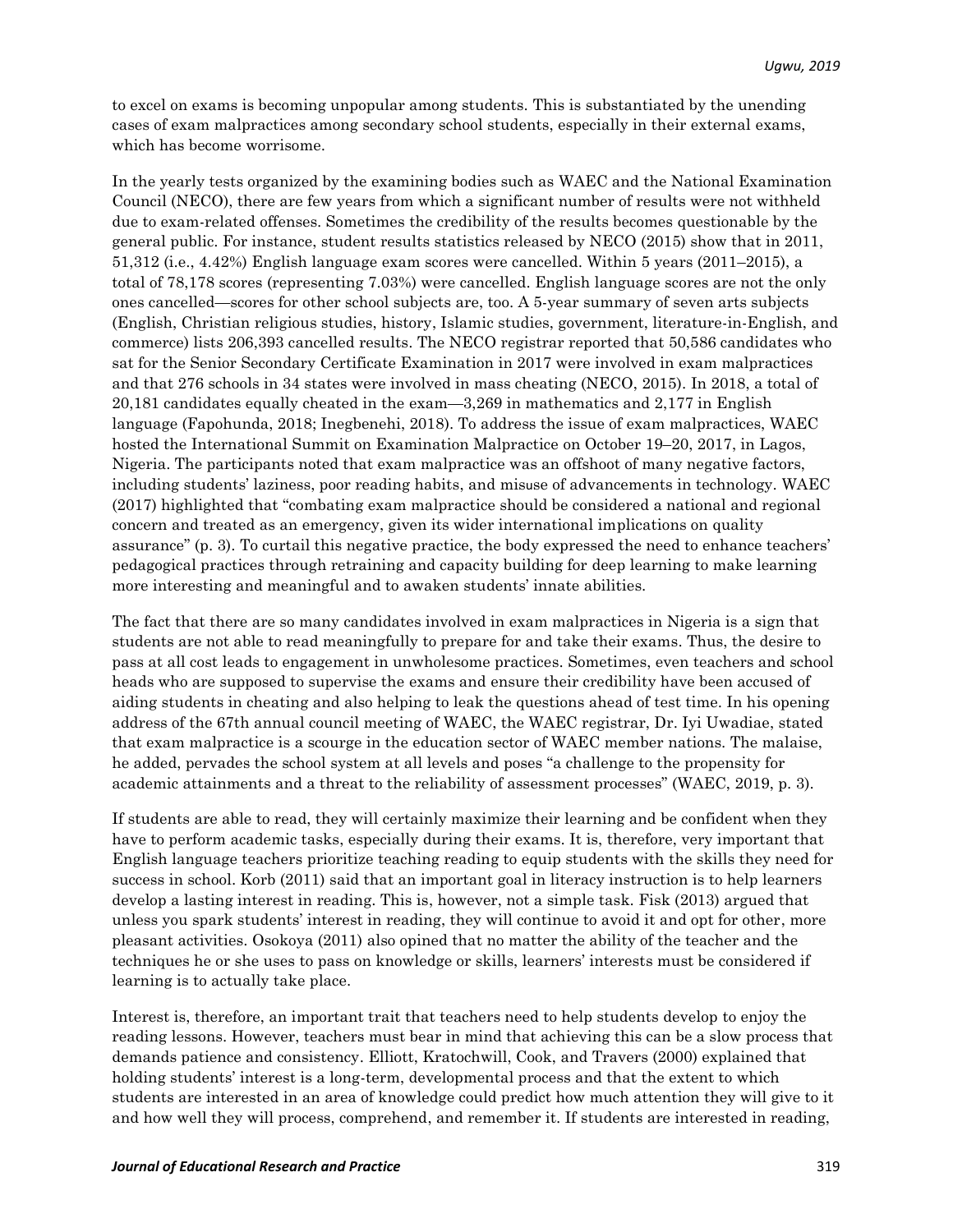to excel on exams is becoming unpopular among students. This is substantiated by the unending cases of exam malpractices among secondary school students, especially in their external exams, which has become worrisome.

In the yearly tests organized by the examining bodies such as WAEC and the National Examination Council (NECO), there are few years from which a significant number of results were not withheld due to exam-related offenses. Sometimes the credibility of the results becomes questionable by the general public. For instance, student results statistics released by NECO (2015) show that in 2011, 51,312 (i.e., 4.42%) English language exam scores were cancelled. Within 5 years (2011–2015), a total of 78,178 scores (representing 7.03%) were cancelled. English language scores are not the only ones cancelled—scores for other school subjects are, too. A 5-year summary of seven arts subjects (English, Christian religious studies, history, Islamic studies, government, literature-in-English, and commerce) lists 206,393 cancelled results. The NECO registrar reported that 50,586 candidates who sat for the Senior Secondary Certificate Examination in 2017 were involved in exam malpractices and that 276 schools in 34 states were involved in mass cheating (NECO, 2015). In 2018, a total of 20,181 candidates equally cheated in the exam—3,269 in mathematics and 2,177 in English language (Fapohunda, 2018; Inegbenehi, 2018). To address the issue of exam malpractices, WAEC hosted the International Summit on Examination Malpractice on October 19–20, 2017, in Lagos, Nigeria. The participants noted that exam malpractice was an offshoot of many negative factors, including students' laziness, poor reading habits, and misuse of advancements in technology. WAEC (2017) highlighted that "combating exam malpractice should be considered a national and regional concern and treated as an emergency, given its wider international implications on quality assurance" (p. 3). To curtail this negative practice, the body expressed the need to enhance teachers' pedagogical practices through retraining and capacity building for deep learning to make learning more interesting and meaningful and to awaken students' innate abilities.

The fact that there are so many candidates involved in exam malpractices in Nigeria is a sign that students are not able to read meaningfully to prepare for and take their exams. Thus, the desire to pass at all cost leads to engagement in unwholesome practices. Sometimes, even teachers and school heads who are supposed to supervise the exams and ensure their credibility have been accused of aiding students in cheating and also helping to leak the questions ahead of test time. In his opening address of the 67th annual council meeting of WAEC, the WAEC registrar, Dr. Iyi Uwadiae, stated that exam malpractice is a scourge in the education sector of WAEC member nations. The malaise, he added, pervades the school system at all levels and poses "a challenge to the propensity for academic attainments and a threat to the reliability of assessment processes" (WAEC, 2019, p. 3).

If students are able to read, they will certainly maximize their learning and be confident when they have to perform academic tasks, especially during their exams. It is, therefore, very important that English language teachers prioritize teaching reading to equip students with the skills they need for success in school. Korb (2011) said that an important goal in literacy instruction is to help learners develop a lasting interest in reading. This is, however, not a simple task. Fisk (2013) argued that unless you spark students' interest in reading, they will continue to avoid it and opt for other, more pleasant activities. Osokoya (2011) also opined that no matter the ability of the teacher and the techniques he or she uses to pass on knowledge or skills, learners' interests must be considered if learning is to actually take place.

Interest is, therefore, an important trait that teachers need to help students develop to enjoy the reading lessons. However, teachers must bear in mind that achieving this can be a slow process that demands patience and consistency. Elliott, Kratochwill, Cook, and Travers (2000) explained that holding students' interest is a long-term, developmental process and that the extent to which students are interested in an area of knowledge could predict how much attention they will give to it and how well they will process, comprehend, and remember it. If students are interested in reading,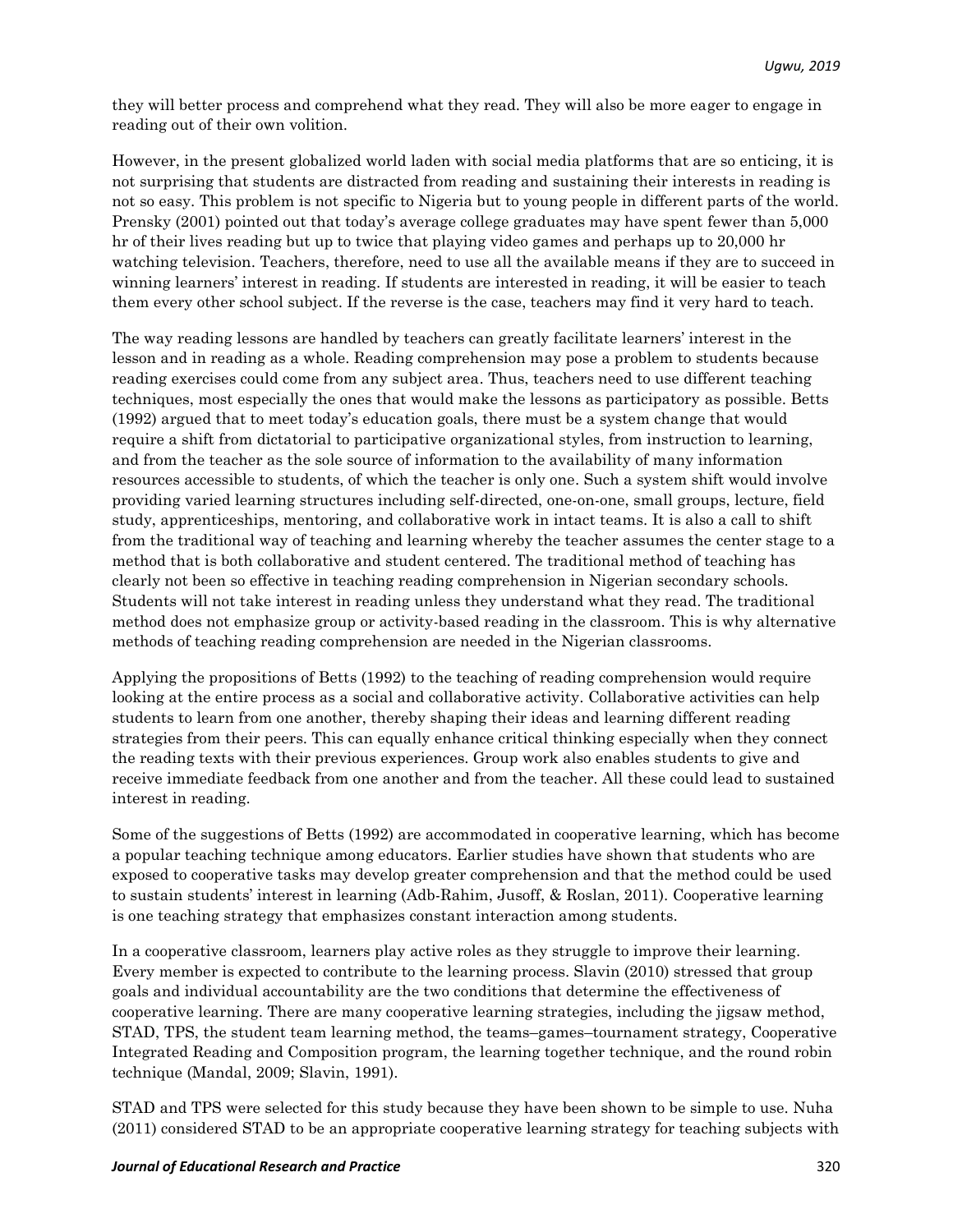they will better process and comprehend what they read. They will also be more eager to engage in reading out of their own volition.

However, in the present globalized world laden with social media platforms that are so enticing, it is not surprising that students are distracted from reading and sustaining their interests in reading is not so easy. This problem is not specific to Nigeria but to young people in different parts of the world. Prensky (2001) pointed out that today's average college graduates may have spent fewer than 5,000 hr of their lives reading but up to twice that playing video games and perhaps up to 20,000 hr watching television. Teachers, therefore, need to use all the available means if they are to succeed in winning learners' interest in reading. If students are interested in reading, it will be easier to teach them every other school subject. If the reverse is the case, teachers may find it very hard to teach.

The way reading lessons are handled by teachers can greatly facilitate learners' interest in the lesson and in reading as a whole. Reading comprehension may pose a problem to students because reading exercises could come from any subject area. Thus, teachers need to use different teaching techniques, most especially the ones that would make the lessons as participatory as possible. Betts (1992) argued that to meet today's education goals, there must be a system change that would require a shift from dictatorial to participative organizational styles, from instruction to learning, and from the teacher as the sole source of information to the availability of many information resources accessible to students, of which the teacher is only one. Such a system shift would involve providing varied learning structures including self-directed, one-on-one, small groups, lecture, field study, apprenticeships, mentoring, and collaborative work in intact teams. It is also a call to shift from the traditional way of teaching and learning whereby the teacher assumes the center stage to a method that is both collaborative and student centered. The traditional method of teaching has clearly not been so effective in teaching reading comprehension in Nigerian secondary schools. Students will not take interest in reading unless they understand what they read. The traditional method does not emphasize group or activity-based reading in the classroom. This is why alternative methods of teaching reading comprehension are needed in the Nigerian classrooms.

Applying the propositions of Betts (1992) to the teaching of reading comprehension would require looking at the entire process as a social and collaborative activity. Collaborative activities can help students to learn from one another, thereby shaping their ideas and learning different reading strategies from their peers. This can equally enhance critical thinking especially when they connect the reading texts with their previous experiences. Group work also enables students to give and receive immediate feedback from one another and from the teacher. All these could lead to sustained interest in reading.

Some of the suggestions of Betts (1992) are accommodated in cooperative learning, which has become a popular teaching technique among educators. Earlier studies have shown that students who are exposed to cooperative tasks may develop greater comprehension and that the method could be used to sustain students' interest in learning (Adb-Rahim, Jusoff, & Roslan, 2011). Cooperative learning is one teaching strategy that emphasizes constant interaction among students.

In a cooperative classroom, learners play active roles as they struggle to improve their learning. Every member is expected to contribute to the learning process. Slavin (2010) stressed that group goals and individual accountability are the two conditions that determine the effectiveness of cooperative learning. There are many cooperative learning strategies, including the jigsaw method, STAD, TPS, the student team learning method, the teams–games–tournament strategy, Cooperative Integrated Reading and Composition program, the learning together technique, and the round robin technique (Mandal, 2009; Slavin, 1991).

STAD and TPS were selected for this study because they have been shown to be simple to use. Nuha (2011) considered STAD to be an appropriate cooperative learning strategy for teaching subjects with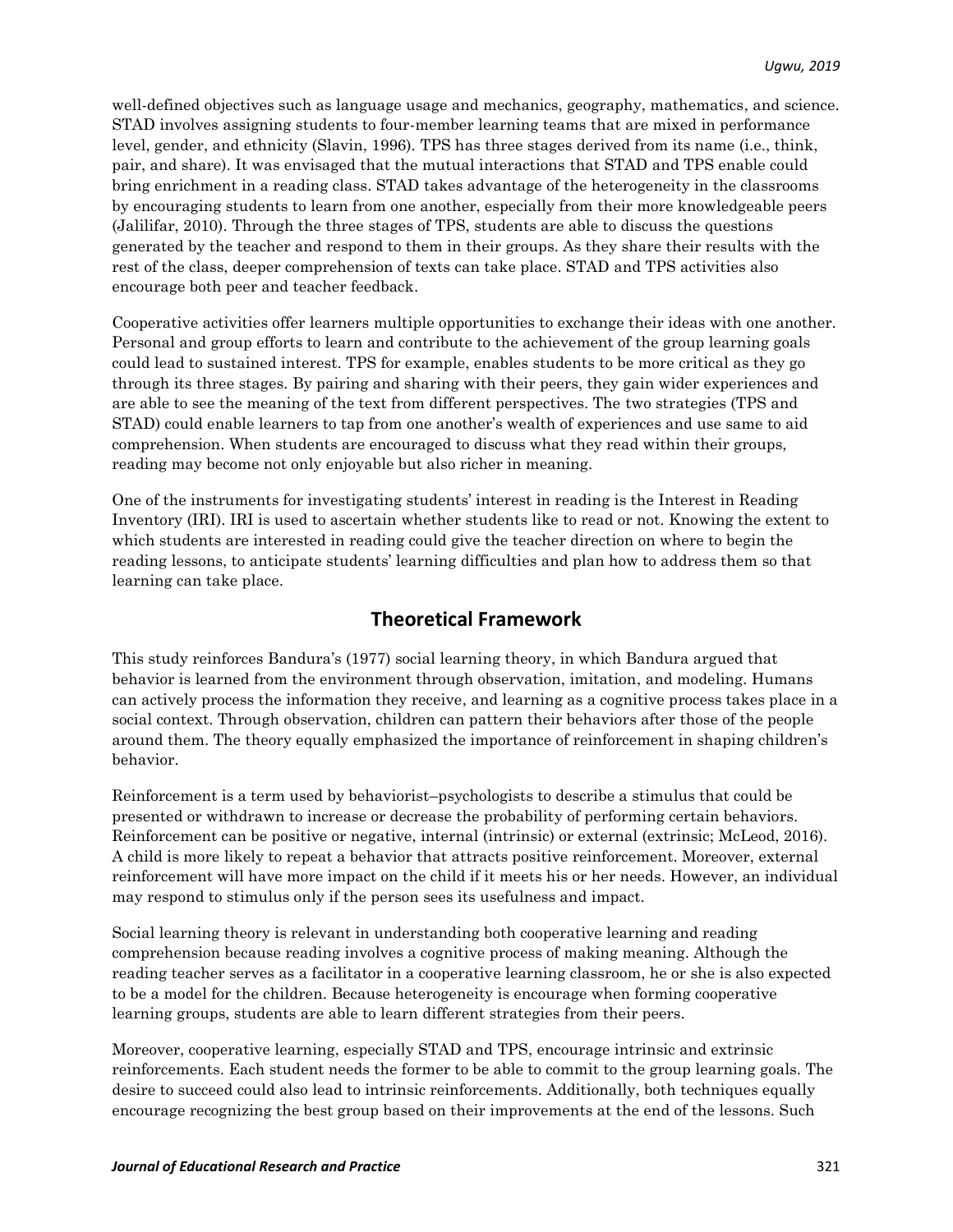well-defined objectives such as language usage and mechanics, geography, mathematics, and science. STAD involves assigning students to four-member learning teams that are mixed in performance level, gender, and ethnicity (Slavin, 1996). TPS has three stages derived from its name (i.e., think, pair, and share). It was envisaged that the mutual interactions that STAD and TPS enable could bring enrichment in a reading class. STAD takes advantage of the heterogeneity in the classrooms by encouraging students to learn from one another, especially from their more knowledgeable peers (Jalilifar, 2010). Through the three stages of TPS, students are able to discuss the questions generated by the teacher and respond to them in their groups. As they share their results with the rest of the class, deeper comprehension of texts can take place. STAD and TPS activities also encourage both peer and teacher feedback.

Cooperative activities offer learners multiple opportunities to exchange their ideas with one another. Personal and group efforts to learn and contribute to the achievement of the group learning goals could lead to sustained interest. TPS for example, enables students to be more critical as they go through its three stages. By pairing and sharing with their peers, they gain wider experiences and are able to see the meaning of the text from different perspectives. The two strategies (TPS and STAD) could enable learners to tap from one another's wealth of experiences and use same to aid comprehension. When students are encouraged to discuss what they read within their groups, reading may become not only enjoyable but also richer in meaning.

One of the instruments for investigating students' interest in reading is the Interest in Reading Inventory (IRI). IRI is used to ascertain whether students like to read or not. Knowing the extent to which students are interested in reading could give the teacher direction on where to begin the reading lessons, to anticipate students' learning difficulties and plan how to address them so that learning can take place.

## **Theoretical Framework**

This study reinforces Bandura's (1977) social learning theory, in which Bandura argued that behavior is learned from the environment through observation, imitation, and modeling. Humans can actively process the information they receive, and learning as a cognitive process takes place in a social context. Through observation, children can pattern their behaviors after those of the people around them. The theory equally emphasized the importance of reinforcement in shaping children's behavior.

Reinforcement is a term used by behaviorist–psychologists to describe a stimulus that could be presented or withdrawn to increase or decrease the probability of performing certain behaviors. Reinforcement can be positive or negative, internal (intrinsic) or external (extrinsic; McLeod, 2016). A child is more likely to repeat a behavior that attracts positive reinforcement. Moreover, external reinforcement will have more impact on the child if it meets his or her needs. However, an individual may respond to stimulus only if the person sees its usefulness and impact.

Social learning theory is relevant in understanding both cooperative learning and reading comprehension because reading involves a cognitive process of making meaning. Although the reading teacher serves as a facilitator in a cooperative learning classroom, he or she is also expected to be a model for the children. Because heterogeneity is encourage when forming cooperative learning groups, students are able to learn different strategies from their peers.

Moreover, cooperative learning, especially STAD and TPS, encourage intrinsic and extrinsic reinforcements. Each student needs the former to be able to commit to the group learning goals. The desire to succeed could also lead to intrinsic reinforcements. Additionally, both techniques equally encourage recognizing the best group based on their improvements at the end of the lessons. Such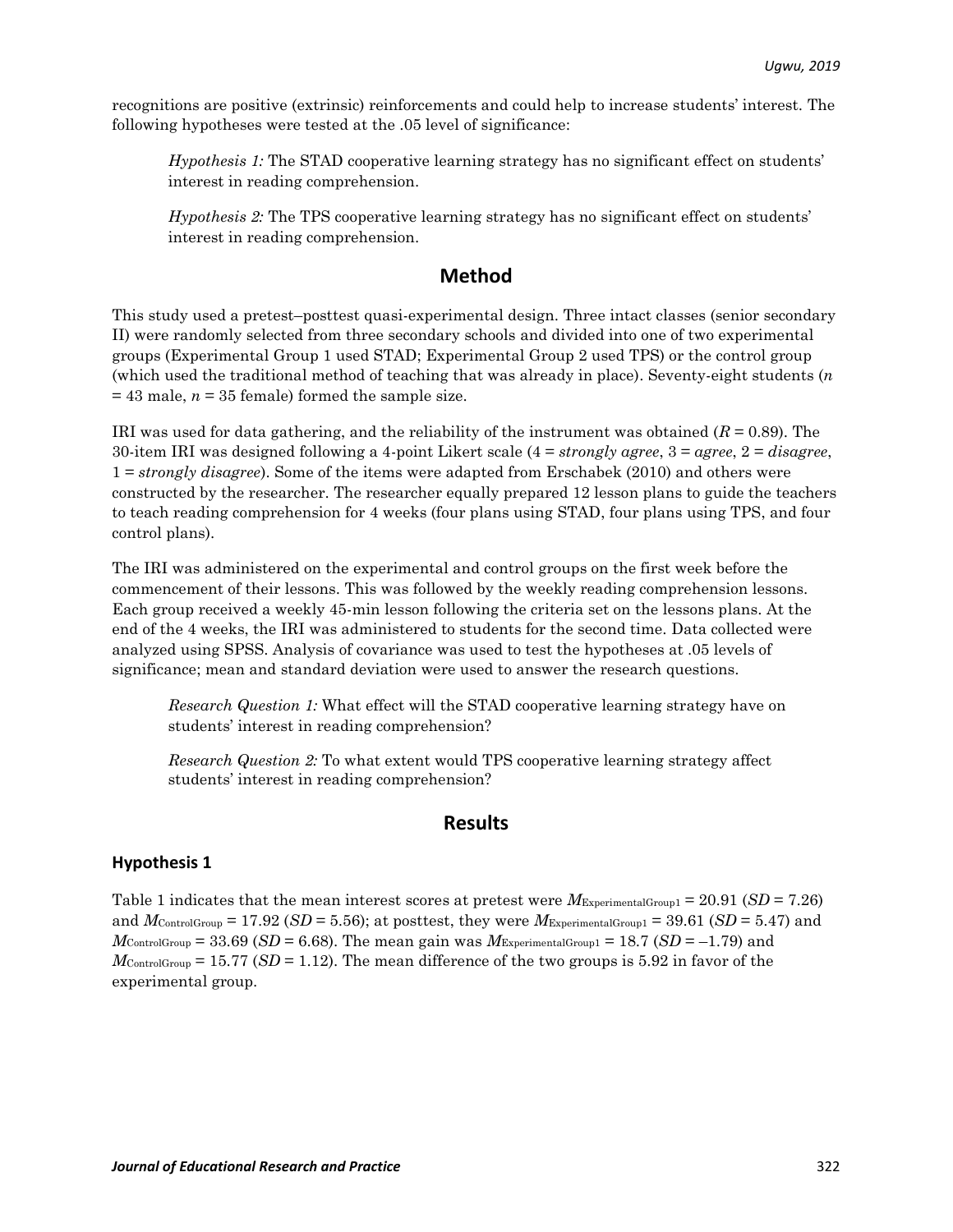recognitions are positive (extrinsic) reinforcements and could help to increase students' interest. The following hypotheses were tested at the .05 level of significance:

*Hypothesis 1:* The STAD cooperative learning strategy has no significant effect on students' interest in reading comprehension.

*Hypothesis 2:* The TPS cooperative learning strategy has no significant effect on students' interest in reading comprehension.

## **Method**

This study used a pretest–posttest quasi-experimental design. Three intact classes (senior secondary II) were randomly selected from three secondary schools and divided into one of two experimental groups (Experimental Group 1 used STAD; Experimental Group 2 used TPS) or the control group (which used the traditional method of teaching that was already in place). Seventy-eight students (*n*   $= 43$  male,  $n = 35$  female) formed the sample size.

IRI was used for data gathering, and the reliability of the instrument was obtained  $(R = 0.89)$ . The 30-item IRI was designed following a 4-point Likert scale (4 = *strongly agree*, 3 = *agree*, 2 = *disagree*, 1 = *strongly disagree*). Some of the items were adapted from Erschabek (2010) and others were constructed by the researcher. The researcher equally prepared 12 lesson plans to guide the teachers to teach reading comprehension for 4 weeks (four plans using STAD, four plans using TPS, and four control plans).

The IRI was administered on the experimental and control groups on the first week before the commencement of their lessons. This was followed by the weekly reading comprehension lessons. Each group received a weekly 45-min lesson following the criteria set on the lessons plans. At the end of the 4 weeks, the IRI was administered to students for the second time. Data collected were analyzed using SPSS. Analysis of covariance was used to test the hypotheses at .05 levels of significance; mean and standard deviation were used to answer the research questions.

*Research Question 1:* What effect will the STAD cooperative learning strategy have on students' interest in reading comprehension?

*Research Question 2:* To what extent would TPS cooperative learning strategy affect students' interest in reading comprehension?

### **Results**

#### **Hypothesis 1**

Table 1 indicates that the mean interest scores at pretest were *M*ExperimentalGroup1 = 20.91 (*SD* = 7.26) and  $M_{\text{ControlGroup}} = 17.92 \ (SD = 5.56)$ ; at posttest, they were  $M_{\text{ExperimentalGroup}} = 39.61 \ (SD = 5.47)$  and  $M_{\text{ControlGroup}} = 33.69 \ (SD = 6.68)$ . The mean gain was  $M_{\text{ExperimentalGroup}} = 18.7 \ (SD = -1.79)$  and  $M_{\text{ControlGroup}} = 15.77 \,(SD = 1.12)$ . The mean difference of the two groups is 5.92 in favor of the experimental group.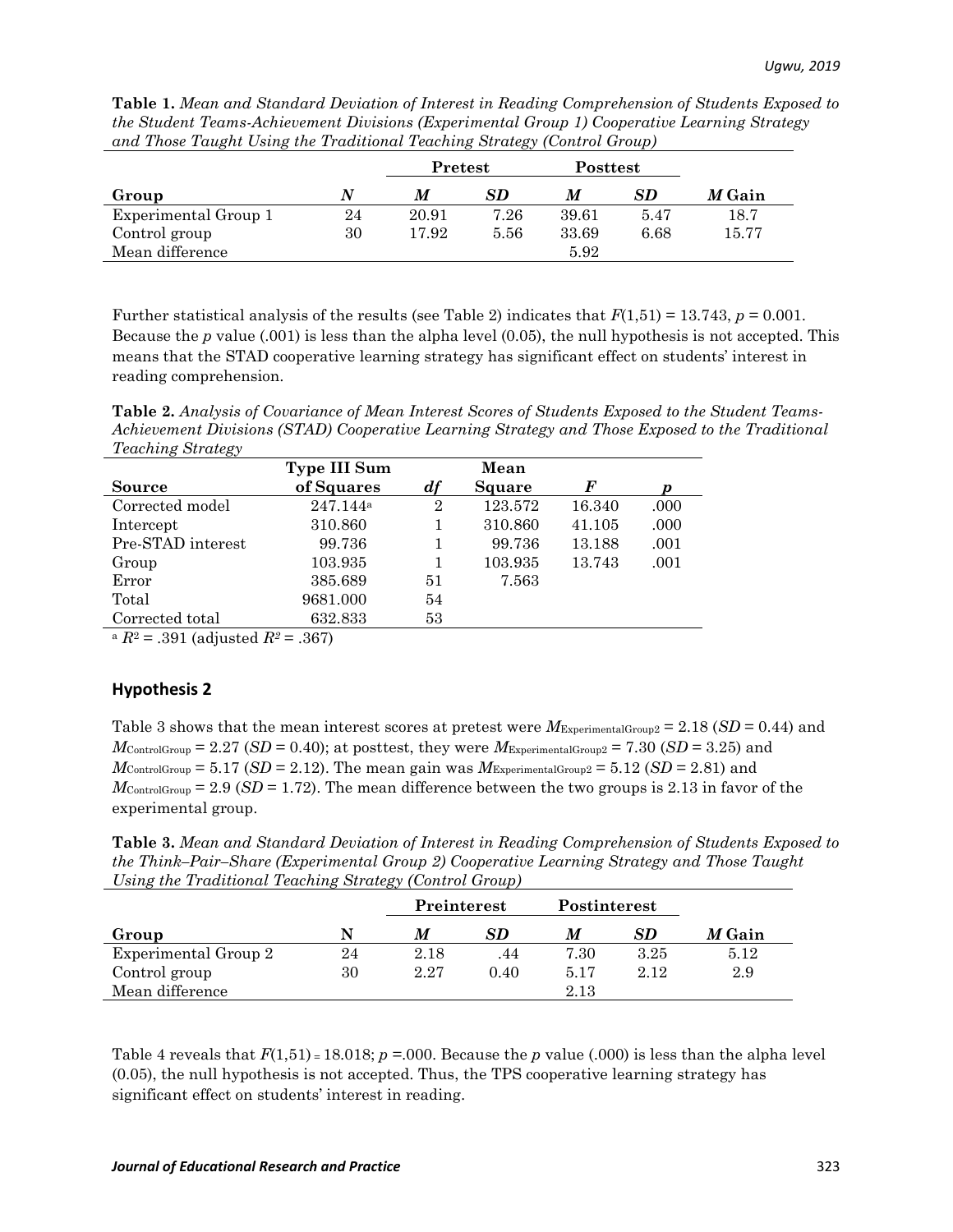**Table 1.** *Mean and Standard Deviation of Interest in Reading Comprehension of Students Exposed to the Student Teams-Achievement Divisions (Experimental Group 1) Cooperative Learning Strategy and Those Taught Using the Traditional Teaching Strategy (Control Group)*

|                      |    | Pretest |      | <b>Posttest</b> |      |        |  |
|----------------------|----|---------|------|-----------------|------|--------|--|
| Group                | N  | M       | SD   | M               | SD   | M Gain |  |
| Experimental Group 1 | 24 | 20.91   | 7.26 | 39.61           | 5.47 | 18.7   |  |
| Control group        | 30 | 17.92   | 5.56 | 33.69           | 6.68 | 15.77  |  |
| Mean difference      |    |         |      | 5.92            |      |        |  |

Further statistical analysis of the results (see Table 2) indicates that *F*(1,51) = 13.743, *p* = 0.001. Because the *p* value (.001) is less than the alpha level (0.05), the null hypothesis is not accepted. This means that the STAD cooperative learning strategy has significant effect on students' interest in reading comprehension.

**Table 2.** *Analysis of Covariance of Mean Interest Scores of Students Exposed to the Student Teams-Achievement Divisions (STAD) Cooperative Learning Strategy and Those Exposed to the Traditional Teaching Strategy*

|                   | Type III Sum         |                    | Mean    |        |      |
|-------------------|----------------------|--------------------|---------|--------|------|
| <b>Source</b>     | of Squares           | $\boldsymbol{d}$ f | Square  | F      |      |
| Corrected model   | 247.144 <sup>a</sup> | $\overline{2}$     | 123.572 | 16.340 | .000 |
| Intercept         | 310.860              |                    | 310.860 | 41.105 | .000 |
| Pre-STAD interest | 99.736               |                    | 99.736  | 13.188 | .001 |
| Group             | 103.935              |                    | 103.935 | 13.743 | .001 |
| Error             | 385.689              | 51                 | 7.563   |        |      |
| Total             | 9681.000             | 54                 |         |        |      |
| Corrected total   | 632.833              | 53                 |         |        |      |
| $\sum_{i=1}^{n}$  | $\bigcap$ $\bigcap$  |                    |         |        |      |

 $R^2 = .391$  (adjusted  $R^2 = .367$ )

#### **Hypothesis 2**

Table 3 shows that the mean interest scores at pretest were *M*ExperimentalGroup2 = 2.18 (*SD* = 0.44) and  $M_{\text{ControlGroup}} = 2.27 \ (SD = 0.40)$ ; at posttest, they were  $M_{\text{ExperimentalGroup2}} = 7.30 \ (SD = 3.25)$  and  $M_{\text{ControlGroup}} = 5.17 \ (SD = 2.12)$ . The mean gain was  $M_{\text{ExperimentalGroup2}} = 5.12 \ (SD = 2.81)$  and  $M_{\text{ControlGroup}} = 2.9$  (*SD* = 1.72). The mean difference between the two groups is 2.13 in favor of the experimental group.

**Table 3.** *Mean and Standard Deviation of Interest in Reading Comprehension of Students Exposed to the Think–Pair–Share (Experimental Group 2) Cooperative Learning Strategy and Those Taught Using the Traditional Teaching Strategy (Control Group)*

|                      |    | Preinterest |      | Postinterest |      |               |  |
|----------------------|----|-------------|------|--------------|------|---------------|--|
| Group                | N  | M           | SD   | M            | SD   | <i>M</i> Gain |  |
| Experimental Group 2 | 24 | 2.18        | .44  | 7.30         | 3.25 | 5.12          |  |
| Control group        | 30 | 2.27        | 0.40 | 5.17         | 2.12 | 2.9           |  |
| Mean difference      |    |             |      | 2.13         |      |               |  |

Table 4 reveals that  $F(1,51) = 18.018$ ;  $p = 0.000$ . Because the *p* value (.000) is less than the alpha level (0.05), the null hypothesis is not accepted. Thus, the TPS cooperative learning strategy has significant effect on students' interest in reading.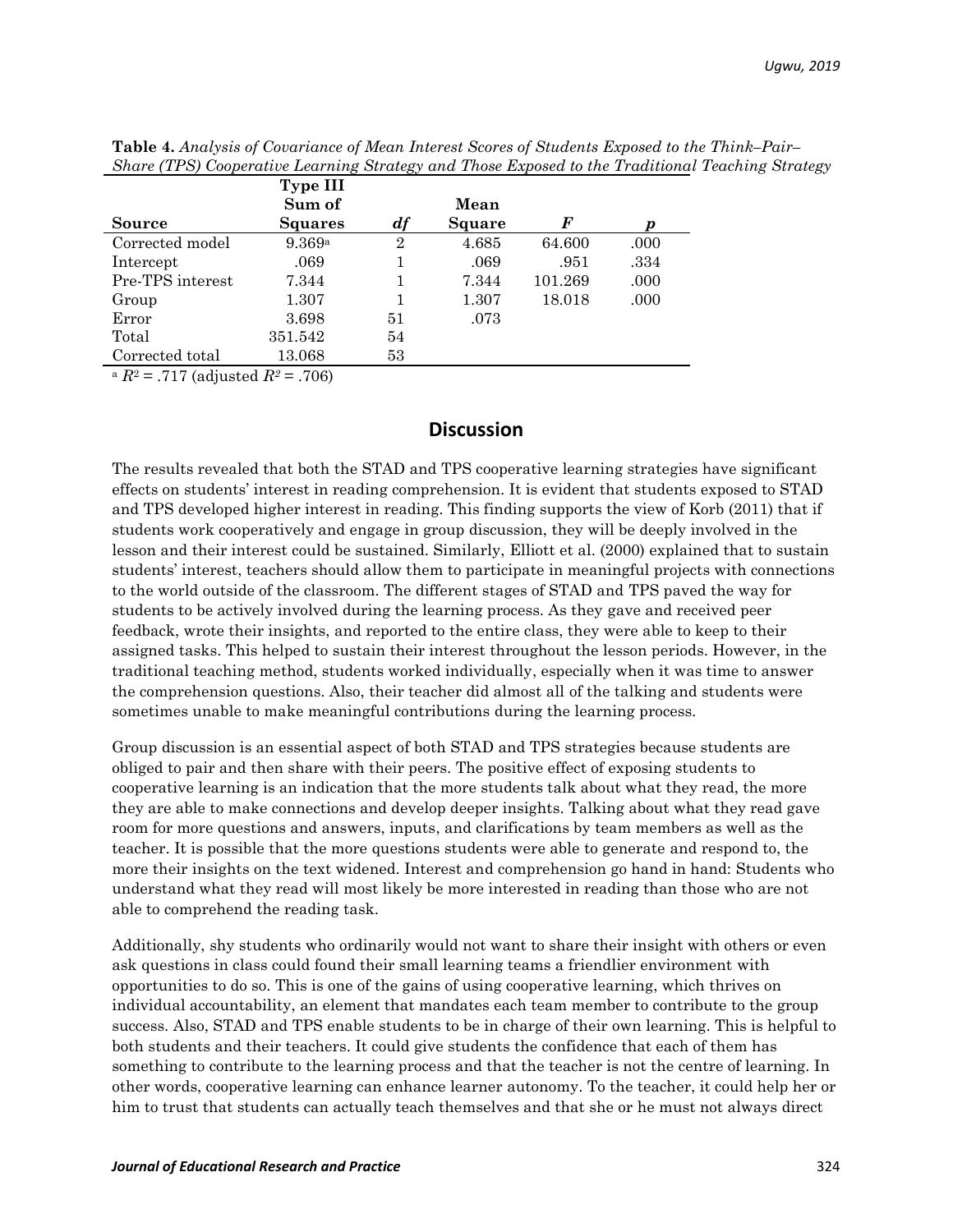| <b>Type III</b> |                                            |                      |                                 |                     |
|-----------------|--------------------------------------------|----------------------|---------------------------------|---------------------|
|                 |                                            |                      |                                 | р                   |
|                 |                                            |                      |                                 | .000                |
|                 |                                            |                      |                                 | .334                |
| 7.344           |                                            | 7.344                | 101.269                         | .000                |
| 1.307           |                                            | 1.307                | 18.018                          | .000                |
| 3.698           | 51                                         | .073                 |                                 |                     |
| 351.542         | 54                                         |                      |                                 |                     |
| 13.068          | 53                                         |                      |                                 |                     |
|                 | Sum of<br><b>Squares</b><br>9.369a<br>.069 | df<br>$\overline{2}$ | Mean<br>Square<br>4.685<br>.069 | F<br>64.600<br>.951 |

**Table 4.** *Analysis of Covariance of Mean Interest Scores of Students Exposed to the Think–Pair– Share (TPS) Cooperative Learning Strategy and Those Exposed to the Traditional Teaching Strategy*

 $a R^2 = .717$  (adjusted  $R^2 = .706$ )

## **Discussion**

The results revealed that both the STAD and TPS cooperative learning strategies have significant effects on students' interest in reading comprehension. It is evident that students exposed to STAD and TPS developed higher interest in reading. This finding supports the view of Korb (2011) that if students work cooperatively and engage in group discussion, they will be deeply involved in the lesson and their interest could be sustained. Similarly, Elliott et al. (2000) explained that to sustain students' interest, teachers should allow them to participate in meaningful projects with connections to the world outside of the classroom. The different stages of STAD and TPS paved the way for students to be actively involved during the learning process. As they gave and received peer feedback, wrote their insights, and reported to the entire class, they were able to keep to their assigned tasks. This helped to sustain their interest throughout the lesson periods. However, in the traditional teaching method, students worked individually, especially when it was time to answer the comprehension questions. Also, their teacher did almost all of the talking and students were sometimes unable to make meaningful contributions during the learning process.

Group discussion is an essential aspect of both STAD and TPS strategies because students are obliged to pair and then share with their peers. The positive effect of exposing students to cooperative learning is an indication that the more students talk about what they read, the more they are able to make connections and develop deeper insights. Talking about what they read gave room for more questions and answers, inputs, and clarifications by team members as well as the teacher. It is possible that the more questions students were able to generate and respond to, the more their insights on the text widened. Interest and comprehension go hand in hand: Students who understand what they read will most likely be more interested in reading than those who are not able to comprehend the reading task.

Additionally, shy students who ordinarily would not want to share their insight with others or even ask questions in class could found their small learning teams a friendlier environment with opportunities to do so. This is one of the gains of using cooperative learning, which thrives on individual accountability, an element that mandates each team member to contribute to the group success. Also, STAD and TPS enable students to be in charge of their own learning. This is helpful to both students and their teachers. It could give students the confidence that each of them has something to contribute to the learning process and that the teacher is not the centre of learning. In other words, cooperative learning can enhance learner autonomy. To the teacher, it could help her or him to trust that students can actually teach themselves and that she or he must not always direct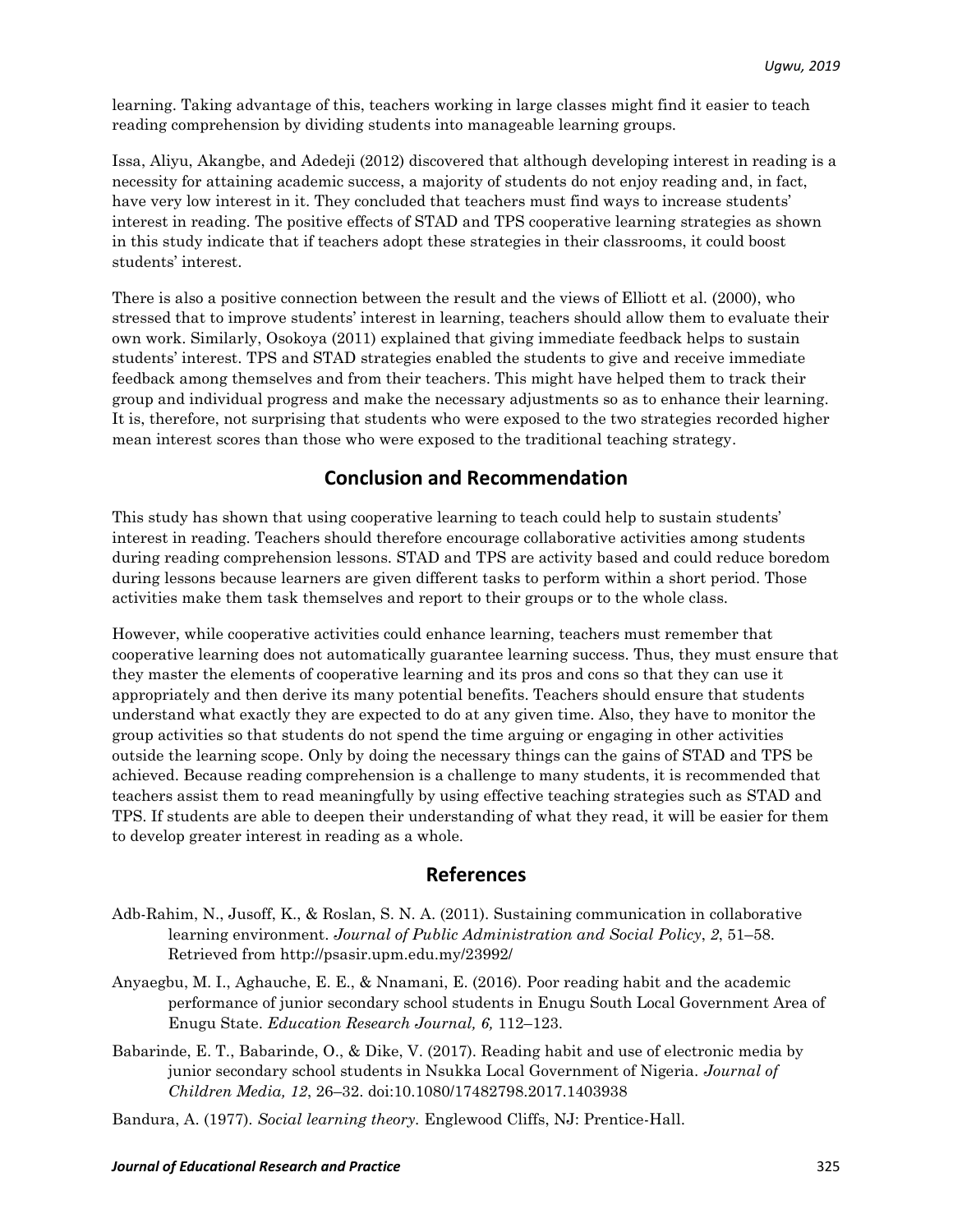learning. Taking advantage of this, teachers working in large classes might find it easier to teach reading comprehension by dividing students into manageable learning groups.

Issa, Aliyu, Akangbe, and Adedeji (2012) discovered that although developing interest in reading is a necessity for attaining academic success, a majority of students do not enjoy reading and, in fact, have very low interest in it. They concluded that teachers must find ways to increase students' interest in reading. The positive effects of STAD and TPS cooperative learning strategies as shown in this study indicate that if teachers adopt these strategies in their classrooms, it could boost students' interest.

There is also a positive connection between the result and the views of Elliott et al. (2000), who stressed that to improve students' interest in learning, teachers should allow them to evaluate their own work. Similarly, Osokoya (2011) explained that giving immediate feedback helps to sustain students' interest. TPS and STAD strategies enabled the students to give and receive immediate feedback among themselves and from their teachers. This might have helped them to track their group and individual progress and make the necessary adjustments so as to enhance their learning. It is, therefore, not surprising that students who were exposed to the two strategies recorded higher mean interest scores than those who were exposed to the traditional teaching strategy.

## **Conclusion and Recommendation**

This study has shown that using cooperative learning to teach could help to sustain students' interest in reading. Teachers should therefore encourage collaborative activities among students during reading comprehension lessons. STAD and TPS are activity based and could reduce boredom during lessons because learners are given different tasks to perform within a short period. Those activities make them task themselves and report to their groups or to the whole class.

However, while cooperative activities could enhance learning, teachers must remember that cooperative learning does not automatically guarantee learning success. Thus, they must ensure that they master the elements of cooperative learning and its pros and cons so that they can use it appropriately and then derive its many potential benefits. Teachers should ensure that students understand what exactly they are expected to do at any given time. Also, they have to monitor the group activities so that students do not spend the time arguing or engaging in other activities outside the learning scope. Only by doing the necessary things can the gains of STAD and TPS be achieved. Because reading comprehension is a challenge to many students, it is recommended that teachers assist them to read meaningfully by using effective teaching strategies such as STAD and TPS. If students are able to deepen their understanding of what they read, it will be easier for them to develop greater interest in reading as a whole.

## **References**

- Adb-Rahim, N., Jusoff, K., & Roslan, S. N. A. (2011). Sustaining communication in collaborative learning environment. *Journal of Public Administration and Social Policy*, *2*, 51–58. Retrieved from<http://psasir.upm.edu.my/23992/>
- Anyaegbu, M. I., Aghauche, E. E., & Nnamani, E. (2016). Poor reading habit and the academic performance of junior secondary school students in Enugu South Local Government Area of Enugu State. *Education Research Journal, 6,* 112–123.
- Babarinde, E. T., Babarinde, O., & Dike, V. (2017). Reading habit and use of electronic media by junior secondary school students in Nsukka Local Government of Nigeria. *Journal of Children Media, 12*, 26–32. doi:10.1080/17482798.2017.1403938

Bandura, A. (1977)*. Social learning theory.* Englewood Cliffs, NJ: Prentice-Hall.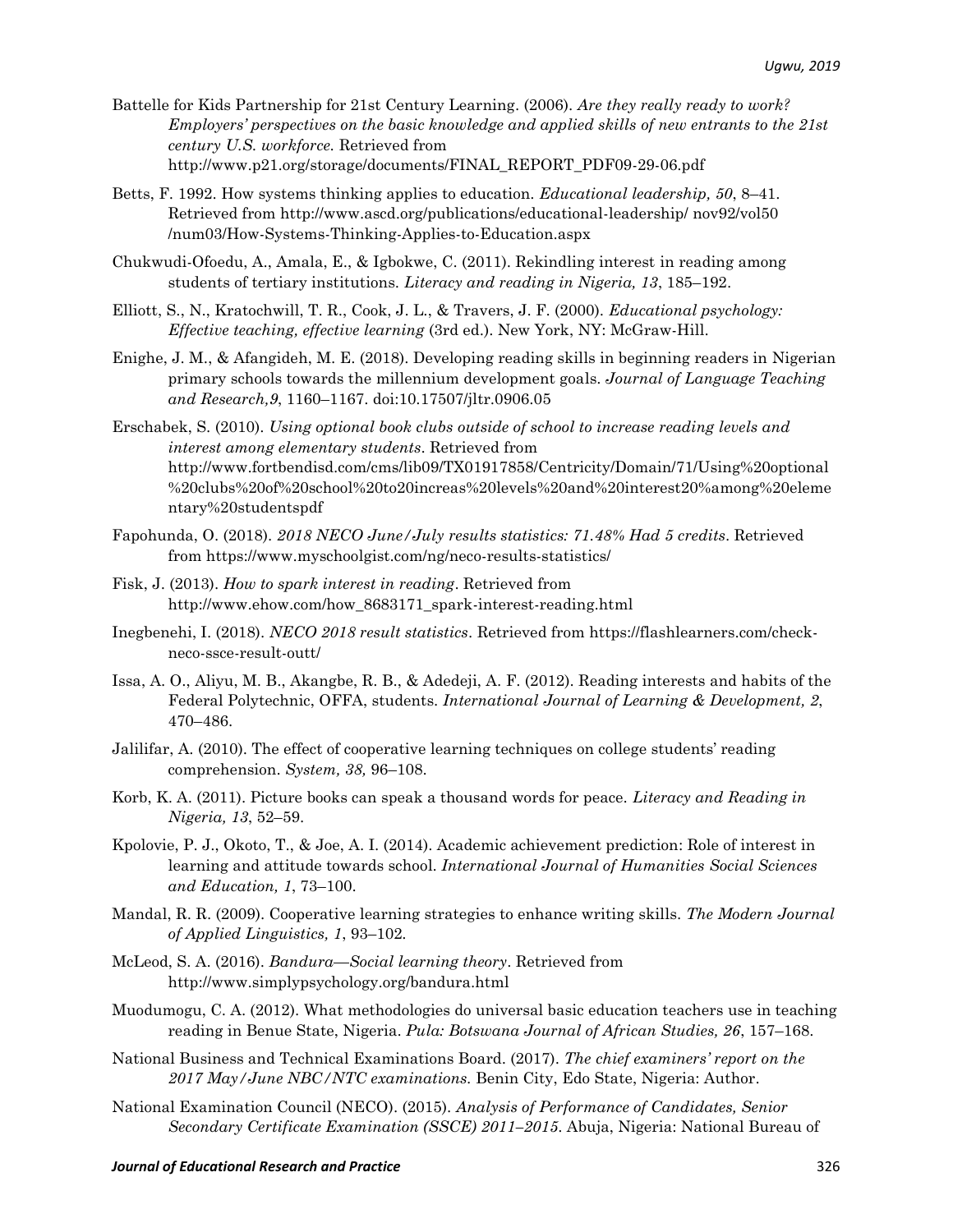- Battelle for Kids Partnership for 21st Century Learning. (2006). *Are they really ready to work? Employers' perspectives on the basic knowledge and applied skills of new entrants to the 21st century U.S. workforce.* Retrieved from [http://www.p21.org/storage/documents/FINAL\\_REPORT\\_PDF09-29-06.pdf](http://www.p21.org/storage/documents/FINAL_REPORT_PDF09-29-06.pdf)
- Betts, F. 1992. How systems thinking applies to education. *Educational leadership, 50*, 8–41. Retrieved from [http://www.ascd.org/publications/educational-leadership/ nov92/vol50](http://www.ascd.org/publications/educational-leadership/%20nov92/vol50%20/num03/How-Systems-Thinking-Applies-to-Education.aspx)  [/num03/How-Systems-Thinking-Applies-to-Education.aspx](http://www.ascd.org/publications/educational-leadership/%20nov92/vol50%20/num03/How-Systems-Thinking-Applies-to-Education.aspx)
- Chukwudi-Ofoedu, A., Amala, E., & Igbokwe, C. (2011). Rekindling interest in reading among students of tertiary institutions. *Literacy and reading in Nigeria, 13*, 185–192.
- Elliott, S., N., Kratochwill, T. R., Cook, J. L., & Travers, J. F. (2000). *Educational psychology: Effective teaching, effective learning* (3rd ed.). New York, NY: McGraw-Hill.
- Enighe, J. M., & Afangideh, M. E. (2018). Developing reading skills in beginning readers in Nigerian primary schools towards the millennium development goals. *Journal of Language Teaching and Research,9*, 1160–1167. [doi:10.17507/jltr.0906.05](http://dx.doi.org/10.17507/jltr.0906.05)
- Erschabek, S. (2010). *Using optional book clubs outside of school to increase reading levels and interest among elementary students*. Retrieved from http://www.fortbendisd.com/cms/lib09/TX01917858/Centricity/Domain/71/Using%20optional %20clubs%20of%20school%20to20increas%20levels%20and%20interest20%among%20eleme ntary%20studentspdf
- Fapohunda, O. (2018). *2018 NECO [June/July](https://www.myschoolgist.com/ng/neco-results-statistics/) results statistics: 71.48% Had 5 credits*. Retrieved from <https://www.myschoolgist.com/ng/neco-results-statistics/>
- Fisk, J. (2013). *How to spark interest in reading*. Retrieved from http://www.ehow.com/how\_8683171\_spark-interest-reading.html
- Inegbenehi, I. (2018). *NECO 2018 result statistics*. Retrieved from [https://flashlearners.com/check](https://flashlearners.com/check-neco-ssce-result-outt/)[neco-ssce-result-outt/](https://flashlearners.com/check-neco-ssce-result-outt/)
- Issa, A. O., Aliyu, M. B., Akangbe, R. B., & Adedeji, A. F. (2012). Reading interests and habits of the Federal Polytechnic, OFFA, students. *International Journal of Learning & Development, 2*, 470–486.
- Jalilifar, A. (2010). The effect of cooperative learning techniques on college students' reading comprehension. *System, 38,* 96–108.
- Korb, K. A. (2011). Picture books can speak a thousand words for peace. *Literacy and Reading in Nigeria, 13*, 52–59.
- Kpolovie, P. J., Okoto, T., & Joe, A. I. (2014). Academic achievement prediction: Role of interest in learning and attitude towards school. *International Journal of Humanities Social Sciences and Education, 1*, 73–100.
- Mandal, R. R. (2009). Cooperative learning strategies to enhance writing skills. *The Modern Journal of Applied Linguistics, 1*, 93–102*.*
- McLeod, S. A. (2016). *Bandura—Social learning theory*. Retrieved from http://www.simplypsychology.org/bandura.html
- Muodumogu, C. A. (2012). What methodologies do universal basic education teachers use in teaching reading in Benue State, Nigeria. *Pula: Botswana Journal of African Studies, 26*, 157–168.
- National Business and Technical Examinations Board. (2017). *The chief examiners' report on the 2017 May/June NBC/NTC examinations.* Benin City, Edo State, Nigeria: Author.
- National Examination Council (NECO). (2015). *Analysis of Performance of Candidates, Senior Secondary Certificate Examination (SSCE) 2011–2015*. Abuja, Nigeria: National Bureau of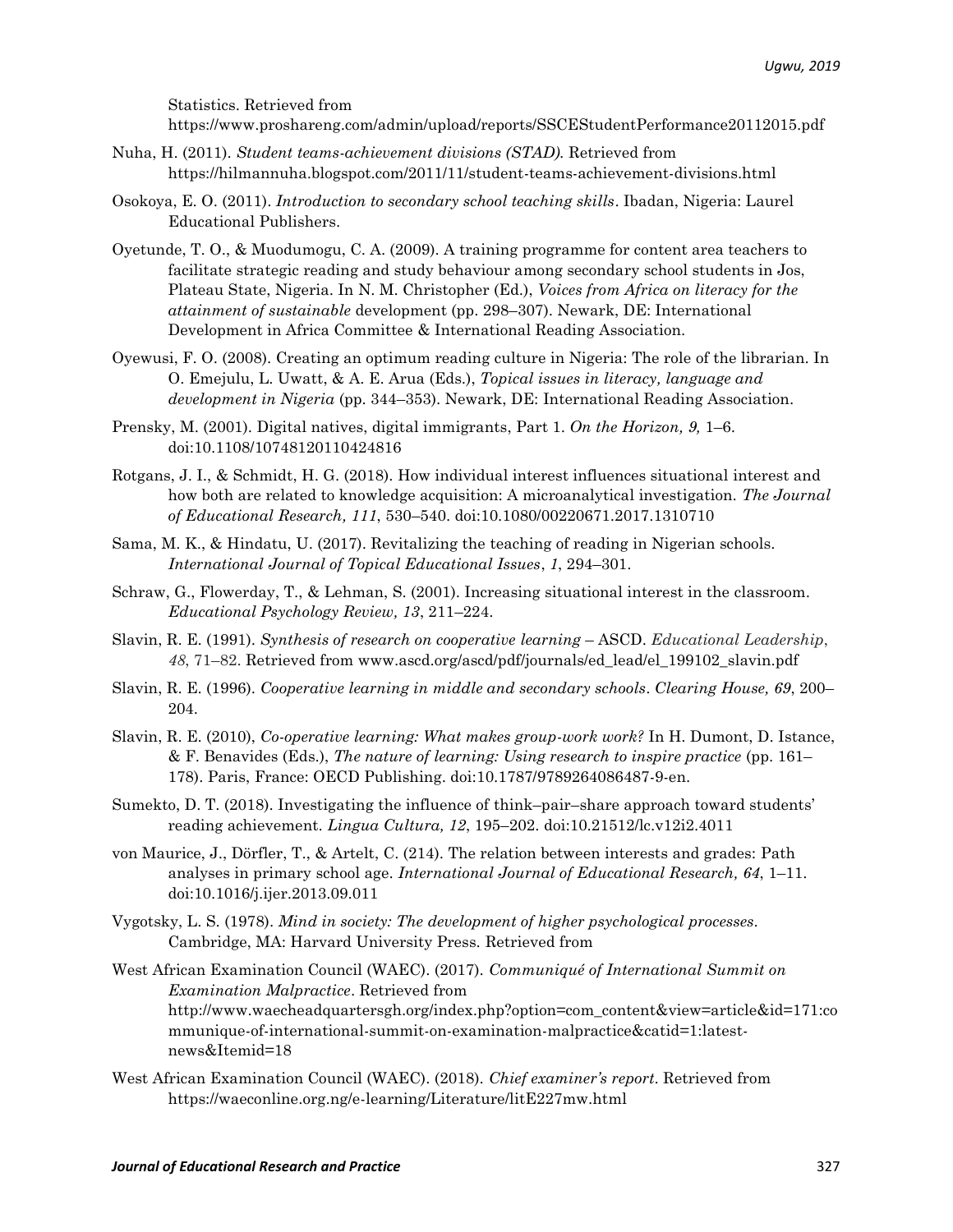Statistics. Retrieved from

<https://www.proshareng.com/admin/upload/reports/SSCEStudentPerformance20112015.pdf>

- Nuha, H. (2011). *Student teams-achievement divisions (STAD).* Retrieved from <https://hilmannuha.blogspot.com/2011/11/student-teams-achievement-divisions.html>
- Osokoya, E. O. (2011). *Introduction to secondary school teaching skills*. Ibadan, Nigeria: Laurel Educational Publishers.
- Oyetunde, T. O., & Muodumogu, C. A. (2009). A training programme for content area teachers to facilitate strategic reading and study behaviour among secondary school students in Jos, Plateau State, Nigeria. In N. M. Christopher (Ed.), *Voices from Africa on literacy for the attainment of sustainable* development (pp. 298–307). Newark, DE: International Development in Africa Committee & International Reading Association.
- Oyewusi, F. O. (2008). Creating an optimum reading culture in Nigeria: The role of the librarian. In O. Emejulu, L. Uwatt, & A. E. Arua (Eds.), *Topical issues in literacy, language and development in Nigeria* (pp. 344–353). Newark, DE: International Reading Association.
- Prensky, M. (2001). Digital natives, digital immigrants, Part 1. *On the Horizon, 9,* 1–6. doi:10.1108/10748120110424816
- Rotgans, J. I., & Schmidt, H. G. (2018). How individual interest influences situational interest and how both are related to knowledge acquisition: A microanalytical investigation. *The Journal of Educational Research, 111*, 530–540. doi:10.1080/00220671.2017.1310710
- Sama, M. K., & Hindatu, U. (2017). Revitalizing the teaching of reading in Nigerian schools. *International Journal of Topical Educational Issues*, *1*, 294–301.
- Schraw, G., Flowerday, T., & Lehman, S. (2001). Increasing situational interest in the classroom. *Educational Psychology Review, 13*, 211–224.
- Slavin, R. E. (1991). *Synthesis of research on cooperative learning* ASCD. *Educational Leadership*, *48*, 71–82. Retrieved from [www.ascd.org/ascd/pdf/journals/ed\\_lead/el\\_199102\\_slavin.pdf](http://www.ascd.org/ascd/pdf/journals/ed_lead/el_199102_slavin.pdf)
- Slavin, R. E. (1996). *Cooperative learning in middle and secondary schools*. *Clearing House, 69*, 200– 204.
- Slavin, R. E. (2010), *Co-operative learning: What makes group-work work?* In H. Dumont, D. Istance, & F. Benavides (Eds.), *The nature of learning: Using research to inspire practice* (pp. 161– 178). Paris, France: OECD Publishing. doi:10.1787/9789264086487-9-en.
- Sumekto, D. T. (2018). Investigating the influence of think–pair–share approach toward students' reading achievement. *Lingua Cultura, 12*, 195–202. doi:10.21512/lc.v12i2.4011
- von Maurice, J., Dörfler, T., & Artelt, C. (214). The relation between interests and grades: Path analyses in primary school age. *International Journal of Educational Research, 64*, 1–11. doi:10.1016/j.ijer.2013.09.011
- Vygotsky, L. S. (1978). *Mind in society: The development of higher psychological processes*. Cambridge, MA: Harvard University Press. Retrieved from
- West African Examination Council (WAEC). (2017). *Communiqué of International Summit on Examination Malpractice*. Retrieved from [http://www.waecheadquartersgh.org/index.php?option=com\\_content&view=article&id=171:co](http://www.waecheadquartersgh.org/index.php?option=com_content&view=article&id=171:communique-of-international-summit-on-examination-malpractice&catid=1:latest-news&Itemid=18) [mmunique-of-international-summit-on-examination-malpractice&catid=1:latest](http://www.waecheadquartersgh.org/index.php?option=com_content&view=article&id=171:communique-of-international-summit-on-examination-malpractice&catid=1:latest-news&Itemid=18)[news&Itemid=18](http://www.waecheadquartersgh.org/index.php?option=com_content&view=article&id=171:communique-of-international-summit-on-examination-malpractice&catid=1:latest-news&Itemid=18)
- West African Examination Council (WAEC). (2018). *Chief examiner's report*. Retrieved from <https://waeconline.org.ng/e-learning/Literature/litE227mw.html>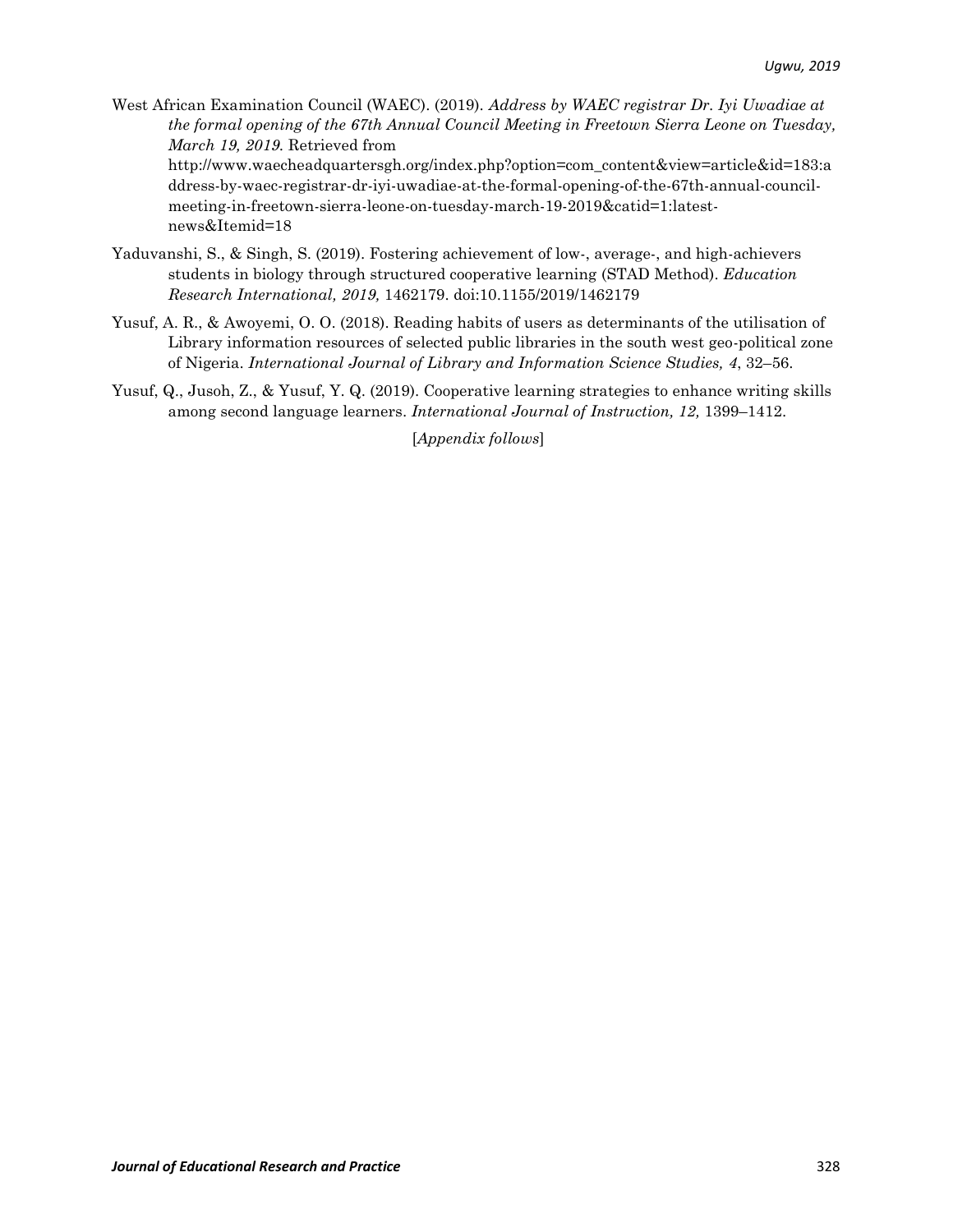West African Examination Council (WAEC). (2019). *Address by WAEC registrar Dr. Iyi Uwadiae at the formal opening of the 67th Annual Council Meeting in Freetown Sierra Leone on Tuesday, March 19, 2019.* Retrieved from [http://www.waecheadquartersgh.org/index.php?option=com\\_content&view=article&id=183:a](http://www.waecheadquartersgh.org/index.php?option=com_content&view=article&id=183:address-by-waec-registrar-dr-iyi-uwadiae-at-the-formal-opening-of-the-67th-annual-council-meeting-in-freetown-sierra-leone-on-tuesday-march-19-2019&catid=1:latest-news&Itemid=18)

[ddress-by-waec-registrar-dr-iyi-uwadiae-at-the-formal-opening-of-the-67th-annual-council](http://www.waecheadquartersgh.org/index.php?option=com_content&view=article&id=183:address-by-waec-registrar-dr-iyi-uwadiae-at-the-formal-opening-of-the-67th-annual-council-meeting-in-freetown-sierra-leone-on-tuesday-march-19-2019&catid=1:latest-news&Itemid=18)[meeting-in-freetown-sierra-leone-on-tuesday-march-19-2019&catid=1:latest](http://www.waecheadquartersgh.org/index.php?option=com_content&view=article&id=183:address-by-waec-registrar-dr-iyi-uwadiae-at-the-formal-opening-of-the-67th-annual-council-meeting-in-freetown-sierra-leone-on-tuesday-march-19-2019&catid=1:latest-news&Itemid=18)[news&Itemid=18](http://www.waecheadquartersgh.org/index.php?option=com_content&view=article&id=183:address-by-waec-registrar-dr-iyi-uwadiae-at-the-formal-opening-of-the-67th-annual-council-meeting-in-freetown-sierra-leone-on-tuesday-march-19-2019&catid=1:latest-news&Itemid=18)

- Yaduvanshi, S., & Singh, S. (2019). Fostering achievement of low-, average-, and high-achievers students in biology through structured cooperative learning (STAD Method). *Education Research International, 2019,* 1462179. doi[:10.1155/2019/1462179](https://doi.org/10.1155/2019/1462179)
- Yusuf, A. R., & Awoyemi, O. O. (2018). Reading habits of users as determinants of the utilisation of Library information resources of selected public libraries in the south west geo-political zone of Nigeria. *International Journal of Library and Information Science Studies, 4*, 32–56.
- Yusuf, Q., Jusoh, Z., & Yusuf, Y. Q. (2019). Cooperative learning strategies to enhance writing skills among second language learners. *International Journal of Instruction, 12,* 1399–1412.

[*Appendix follows*]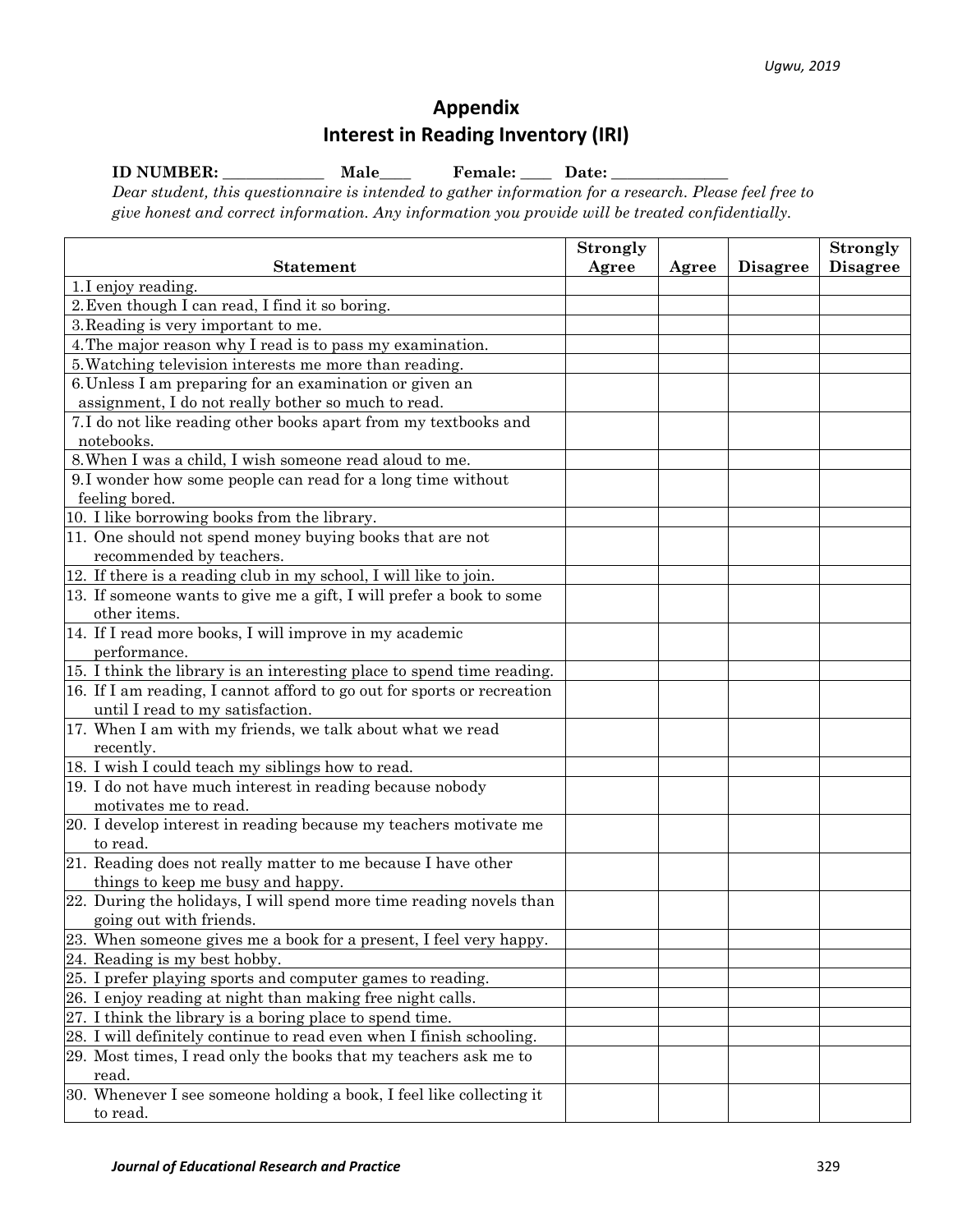## **Appendix Interest in Reading Inventory (IRI)**

**ID NUMBER: \_\_\_\_\_\_\_\_\_\_\_\_\_ Male\_\_\_\_ Female: \_\_\_\_ Date: \_\_\_\_\_\_\_\_\_\_\_\_\_\_\_**

*Dear student, this questionnaire is intended to gather information for a research. Please feel free to give honest and correct information. Any information you provide will be treated confidentially.*

|                                                                         | <b>Strongly</b> |       |                 | <b>Strongly</b> |
|-------------------------------------------------------------------------|-----------------|-------|-----------------|-----------------|
| <b>Statement</b>                                                        | Agree           | Agree | <b>Disagree</b> | <b>Disagree</b> |
| 1.I enjoy reading.                                                      |                 |       |                 |                 |
| 2. Even though I can read, I find it so boring.                         |                 |       |                 |                 |
| 3. Reading is very important to me.                                     |                 |       |                 |                 |
| 4. The major reason why I read is to pass my examination.               |                 |       |                 |                 |
| 5. Watching television interests me more than reading.                  |                 |       |                 |                 |
| 6. Unless I am preparing for an examination or given an                 |                 |       |                 |                 |
| assignment, I do not really bother so much to read.                     |                 |       |                 |                 |
| 7.I do not like reading other books apart from my textbooks and         |                 |       |                 |                 |
| notebooks.                                                              |                 |       |                 |                 |
| 8. When I was a child, I wish someone read aloud to me.                 |                 |       |                 |                 |
| 9.I wonder how some people can read for a long time without             |                 |       |                 |                 |
| feeling bored.                                                          |                 |       |                 |                 |
| 10. I like borrowing books from the library.                            |                 |       |                 |                 |
| 11. One should not spend money buying books that are not                |                 |       |                 |                 |
| recommended by teachers.                                                |                 |       |                 |                 |
| 12. If there is a reading club in my school, I will like to join.       |                 |       |                 |                 |
| 13. If someone wants to give me a gift, I will prefer a book to some    |                 |       |                 |                 |
| other items.                                                            |                 |       |                 |                 |
| 14. If I read more books, I will improve in my academic                 |                 |       |                 |                 |
| performance.                                                            |                 |       |                 |                 |
| 15. I think the library is an interesting place to spend time reading.  |                 |       |                 |                 |
| 16. If I am reading, I cannot afford to go out for sports or recreation |                 |       |                 |                 |
| until I read to my satisfaction.                                        |                 |       |                 |                 |
| 17. When I am with my friends, we talk about what we read               |                 |       |                 |                 |
| recently.                                                               |                 |       |                 |                 |
| 18. I wish I could teach my siblings how to read.                       |                 |       |                 |                 |
| 19. I do not have much interest in reading because nobody               |                 |       |                 |                 |
| motivates me to read.                                                   |                 |       |                 |                 |
| 20. I develop interest in reading because my teachers motivate me       |                 |       |                 |                 |
| to read.                                                                |                 |       |                 |                 |
| 21. Reading does not really matter to me because I have other           |                 |       |                 |                 |
| things to keep me busy and happy.                                       |                 |       |                 |                 |
| 22. During the holidays, I will spend more time reading novels than     |                 |       |                 |                 |
| going out with friends.                                                 |                 |       |                 |                 |
| 23. When someone gives me a book for a present, I feel very happy.      |                 |       |                 |                 |
| 24. Reading is my best hobby.                                           |                 |       |                 |                 |
| 25. I prefer playing sports and computer games to reading.              |                 |       |                 |                 |
| 26. I enjoy reading at night than making free night calls.              |                 |       |                 |                 |
| 27. I think the library is a boring place to spend time.                |                 |       |                 |                 |
| 28. I will definitely continue to read even when I finish schooling.    |                 |       |                 |                 |
| 29. Most times, I read only the books that my teachers ask me to        |                 |       |                 |                 |
| read.                                                                   |                 |       |                 |                 |
| 30. Whenever I see someone holding a book, I feel like collecting it    |                 |       |                 |                 |
| to read.                                                                |                 |       |                 |                 |